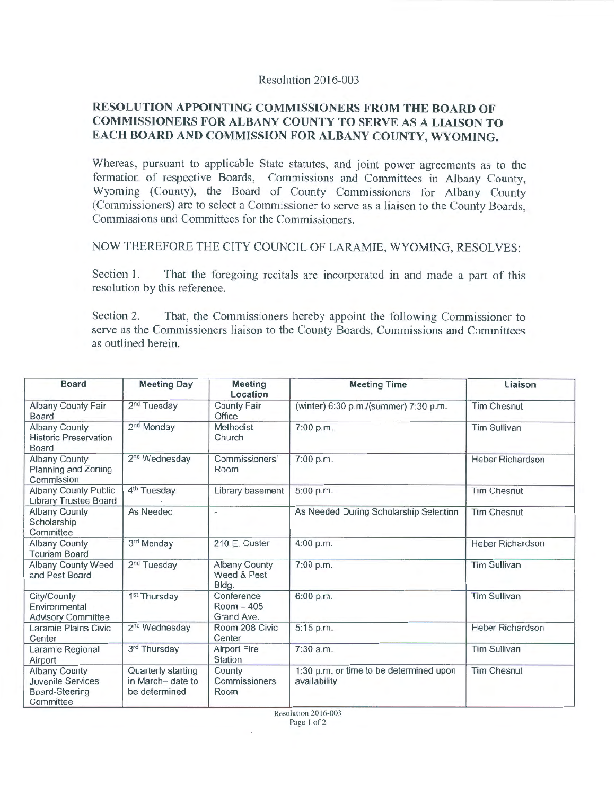## Resolution 2016-003

## RESOLUTION APPOINTING COMMISSIONERS FROM THE BOARD OF COMMISSIONERS FOR ALBANY COUNTY TO SERVE AS A LIAISON TO EACH BOARD AND COMMISSION FOR ALBANY COUNTY, WYOMING.

Whereas, pursuant to applicable State statutes, and joint power agreements as to the formation of respective Boards, Commissions and Committees in Albany County, Wyoming (County), the Board of County Commissioners for Albany County (Commissioners) are to select a Commissioner to serve as a liaison to the County Boards, Commissions and Committees for the Commissioners.

NOW THEREFORE THE CITY COUNCIL OF LARAMIE, WYOMING, RESOLVES:

Section 1. That the foregoing recitals are incorporated in and made a part of this resolution by this reference.

Section 2. That, the Commissioners hereby appoint the following Commissioner to serve as the Commissioners liaison to the County Boards, Commissions and Committees as outlined herein.

| Board                                                                           | <b>Meeting Day</b>                                      | <b>Meeting</b><br>Location               | <b>Meeting Time</b>                                     | Liaison                 |
|---------------------------------------------------------------------------------|---------------------------------------------------------|------------------------------------------|---------------------------------------------------------|-------------------------|
| Albany County Fair<br>Board                                                     | 2 <sup>nd</sup> Tuesday                                 | <b>County Fair</b><br>Office             | (winter) 6:30 p.m./(summer) 7:30 p.m.                   | <b>Tim Chesnut</b>      |
| Albany County<br><b>Historic Preservation</b><br>Board                          | 2 <sup>nd</sup> Monday                                  | Methodist<br>Church                      | 7:00 p.m.                                               | <b>Tim Sullivan</b>     |
| <b>Albany County</b><br>Planning and Zoning<br>Commission                       | 2 <sup>nd</sup> Wednesday                               | Commissioners'<br>Room                   | 7:00 p.m.                                               | Heber Richardson        |
| <b>Albany County Public</b><br>Library Trustee Board                            | 4 <sup>th</sup> Tuesday                                 | Library basement                         | 5:00 p.m.                                               | <b>Tim Chesnut</b>      |
| <b>Albany County</b><br>Scholarship<br>Committee                                | As Needed                                               | $\overline{\phantom{0}}$                 | As Needed During Scholarship Selection                  | <b>Tim Chesnut</b>      |
| <b>Albany County</b><br><b>Tourism Board</b>                                    | 3rd Monday                                              | 210 E. Custer                            | 4:00 p.m.                                               | <b>Heber Richardson</b> |
| Albany County Weed<br>and Pest Board                                            | 2 <sup>nd</sup> Tuesday                                 | Albany County<br>Weed & Pest<br>Bldg.    | 7:00 p.m.                                               | <b>Tim Sullivan</b>     |
| City/County<br>Environmental<br><b>Advisory Committee</b>                       | 1 <sup>st</sup> Thursday                                | Conference<br>$Room - 405$<br>Grand Ave. | 6:00 p.m.                                               | <b>Tim Sullivan</b>     |
| Laramie Plains Civic<br>Center                                                  | 2 <sup>nd</sup> Wednesday                               | Room 208 Civic<br>Center                 | 5:15 p.m.                                               | <b>Heber Richardson</b> |
| Laramie Regional<br>Airport                                                     | 3rd Thursday                                            | <b>Airport Fire</b><br>Station           | 7:30 a.m.                                               | <b>Tim Sullivan</b>     |
| <b>Albany County</b><br><b>Juvenile Services</b><br>Board-Steering<br>Committee | Quarterly starting<br>in March-date to<br>be determined | County<br>Commissioners<br>Room          | 1:30 p.m. or time to be determined upon<br>availability | <b>Tim Chesnut</b>      |